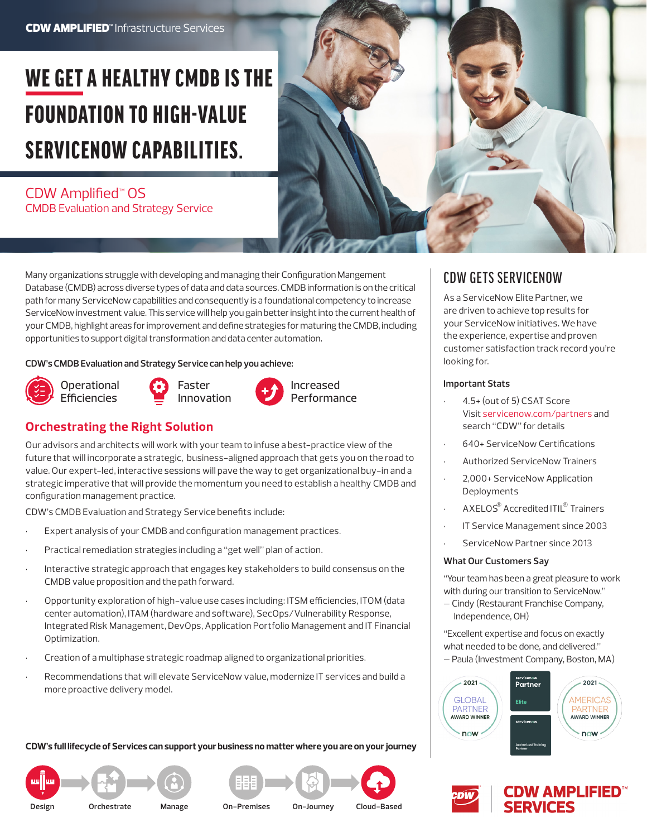# WE GET A HEALTHY CMDB IS THE FOUNDATION TO HIGH-VALUE SERVICENOW CAPABILITIES.

# CDW Amplified™ OS CMDB Evaluation and Strategy Service

Many organizations struggle with developing and managing their Configuration Mangement Database (CMDB) across diverse types of data and data sources. CMDB information is on the critical path for many ServiceNow capabilities and consequently is a foundational competency to increase ServiceNow investment value. This service will help you gain better insight into the current health of your CMDB, highlight areas for improvement and define strategies for maturing the CMDB, including opportunities to support digital transformation and data center automation.

#### **CDW's CMDB Evaluation and Strategy Service can help you achieve:**











# **Orchestrating the Right Solution**

Our advisors and architects will work with your team to infuse a best-practice view of the future that will incorporate a strategic, business-aligned approach that gets you on the road to value. Our expert-led, interactive sessions will pave the way to get organizational buy-in and a strategic imperative that will provide the momentum you need to establish a healthy CMDB and configuration management practice.

CDW's CMDB Evaluation and Strategy Service benefits include:

- Expert analysis of your CMDB and configuration management practices.
- Practical remediation strategies including a "get well" plan of action.
- Interactive strategic approach that engages key stakeholders to build consensus on the CMDB value proposition and the path forward.
- Opportunity exploration of high-value use cases including: ITSM efficiencies, ITOM (data center automation), ITAM (hardware and software), SecOps/Vulnerability Response, Integrated Risk Management, DevOps, Application Portfolio Management and IT Financial Optimization.
- Creation of a multiphase strategic roadmap aligned to organizational priorities.
- Recommendations that will elevate ServiceNow value, modernize IT services and build a more proactive delivery model.

**CDW's full lifecycle of Services can support your business no matter where you are on your journey** 











As a ServiceNow Elite Partner, we are driven to achieve top results for your ServiceNow initiatives. We have the experience, expertise and proven customer satisfaction track record you're looking for.

#### **Important Stats**

- 4.5+ (out of 5) CSAT Score Visit [servicenow.com/partner](https://www.servicenow.com/partners/partner-finder.html)s and search "CDW" for details
- 640+ ServiceNow Certifications
- Authorized ServiceNow Trainers
- 2,000+ ServiceNow Application Deployments
- $\cdot$  AXELOS® Accredited ITIL® Trainers
- IT Service Management since 2003
- ServiceNow Partner since 2013

#### **What Our Customers Say**

"Your team has been a great pleasure to work with during our transition to ServiceNow."

– Cindy (Restaurant Franchise Company, Independence, OH)

"Excellent expertise and focus on exactly what needed to be done, and delivered." – Paula (Investment Company, Boston, MA)